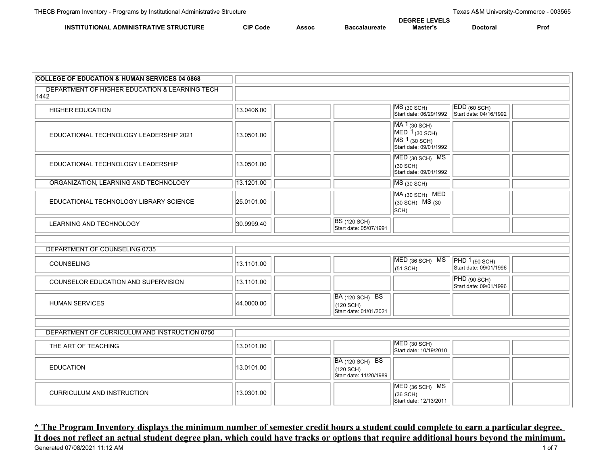|                                                                        |                   |       |           | DEC |                |     |
|------------------------------------------------------------------------|-------------------|-------|-----------|-----|----------------|-----|
| <b>STRUCTURE</b><br><b>INS</b><br>TIVF<br><b>ADMINISTRA</b><br>II) NAI | CIP<br><b>COO</b> | Assoc | alaureate | .   | Doc:<br>:τoraι | Pro |

| <b>COLLEGE OF EDUCATION &amp; HUMAN SERVICES 04 0868</b> |            |                                                        |                                                                                         |                                                                 |  |
|----------------------------------------------------------|------------|--------------------------------------------------------|-----------------------------------------------------------------------------------------|-----------------------------------------------------------------|--|
| DEPARTMENT OF HIGHER EDUCATION & LEARNING TECH<br>1442   |            |                                                        |                                                                                         |                                                                 |  |
| <b>HIGHER EDUCATION</b>                                  | 13.0406.00 |                                                        | $MS$ (30 SCH)<br>Start date: 06/29/1992                                                 | $EDD$ (60 SCH)<br>Start date: 04/16/1992                        |  |
| EDUCATIONAL TECHNOLOGY LEADERSHIP 2021                   | 13.0501.00 |                                                        | MA 1 (30 SCH)<br>$MED1$ (30 SCH)<br>$MS 1_{(30 \text{ SCH})}$<br>Start date: 09/01/1992 |                                                                 |  |
| EDUCATIONAL TECHNOLOGY LEADERSHIP                        | 13.0501.00 |                                                        | MED (30 SCH) MS<br>$(30$ SCH)<br>Start date: 09/01/1992                                 |                                                                 |  |
| ORGANIZATION, LEARNING AND TECHNOLOGY                    | 13.1201.00 |                                                        | $MS$ (30 SCH)                                                                           |                                                                 |  |
| EDUCATIONAL TECHNOLOGY LIBRARY SCIENCE                   | 25.0101.00 |                                                        | MA (30 SCH) MED<br>$(30$ SCH) MS $(30)$<br>$ SCH\rangle$                                |                                                                 |  |
| <b>LEARNING AND TECHNOLOGY</b>                           | 30.9999.40 | <b>BS</b> (120 SCH)<br>Start date: 05/07/1991          |                                                                                         |                                                                 |  |
|                                                          |            |                                                        |                                                                                         |                                                                 |  |
| DEPARTMENT OF COUNSELING 0735                            |            |                                                        |                                                                                         |                                                                 |  |
| COUNSELING                                               | 13.1101.00 |                                                        | MED (36 SCH) MS<br>$(51$ SCH)                                                           | $\overline{PHD 1_{(90 \text{ SCH})}}$<br>Start date: 09/01/1996 |  |
| COUNSELOR EDUCATION AND SUPERVISION                      | 13.1101.00 |                                                        |                                                                                         | PHD (90 SCH)<br>Start date: 09/01/1996                          |  |
| <b>HUMAN SERVICES</b>                                    | 44.0000.00 | BA (120 SCH) BS<br>(120 SCH)<br>Start date: 01/01/2021 |                                                                                         |                                                                 |  |
|                                                          |            |                                                        |                                                                                         |                                                                 |  |
| DEPARTMENT OF CURRICULUM AND INSTRUCTION 0750            |            |                                                        |                                                                                         |                                                                 |  |
| THE ART OF TEACHING                                      | 13.0101.00 |                                                        | $MED$ (30 SCH)<br>Start date: 10/19/2010                                                |                                                                 |  |
| <b>EDUCATION</b>                                         | 13.0101.00 | BA (120 SCH) BS<br>(120 SCH)<br>Start date: 11/20/1989 |                                                                                         |                                                                 |  |
| <b>CURRICULUM AND INSTRUCTION</b>                        | 13.0301.00 |                                                        | MED (36 SCH) MS<br>$(36$ SCH)<br>Start date: 12/13/2011                                 |                                                                 |  |

## **\* The Program Inventory displays the minimum number of semester credit hours a student could complete to earn a particular degree. It does not reflect an actual student degree plan, which could have tracks or options that require additional hours beyond the minimum.**<br>Generated 07/08/2021 11:12 AM 1 of 7 Generated 07/08/2021 11:12 AM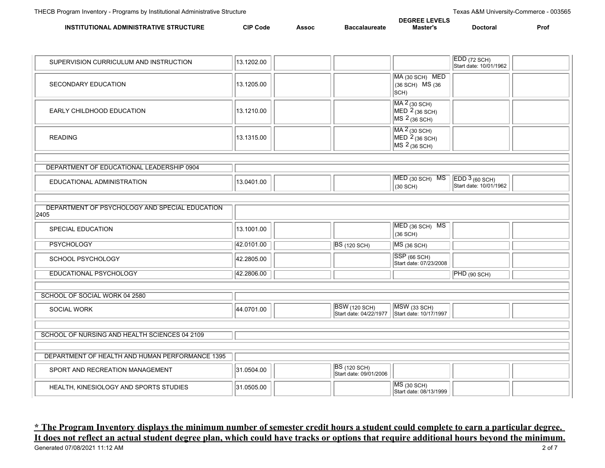|                                        |                 |       |                      | <b>DEGREE LEVELS</b> |          |      |
|----------------------------------------|-----------------|-------|----------------------|----------------------|----------|------|
| INSTITUTIONAL ADMINISTRATIVE STRUCTURE | <b>CIP Code</b> | Assoc | <b>Baccalaureate</b> | Master's             | Doctoral | Pro. |

| SUPERVISION CURRICULUM AND INSTRUCTION                 | 13.1202.00 |                                                |                                                                          | EDD (72 SCH)<br>Start date: 10/01/1962  |
|--------------------------------------------------------|------------|------------------------------------------------|--------------------------------------------------------------------------|-----------------------------------------|
| SECONDARY EDUCATION                                    | 13.1205.00 |                                                | MA (30 SCH) MED<br>(36 SCH) MS (36<br>$ SCH\rangle$                      |                                         |
| EARLY CHILDHOOD EDUCATION                              | 13.1210.00 |                                                | MA 2 (30 SCH)<br>$MED2$ (36 SCH)<br>$MS 2_{(36 \text{ SCH})}$            |                                         |
| <b>READING</b>                                         | 13.1315.00 |                                                | MA 2 (30 SCH)<br>MED $2_{(36 \text{ SCH})}$<br>MS $2_{(36 \text{ SCH})}$ |                                         |
| DEPARTMENT OF EDUCATIONAL LEADERSHIP 0904              |            |                                                |                                                                          |                                         |
| EDUCATIONAL ADMINISTRATION                             | 13.0401.00 |                                                | MED (30 SCH) MS<br>$(30$ SCH $)$                                         | EDD 3(60 SCH)<br>Start date: 10/01/1962 |
|                                                        |            |                                                |                                                                          |                                         |
| DEPARTMENT OF PSYCHOLOGY AND SPECIAL EDUCATION<br>2405 |            |                                                |                                                                          |                                         |
| <b>SPECIAL EDUCATION</b>                               | 13.1001.00 |                                                | MED (36 SCH) MS<br>(36 SCH)                                              |                                         |
| <b>PSYCHOLOGY</b>                                      | 42.0101.00 | <b>BS</b> (120 SCH)                            | $MS$ (36 SCH)                                                            |                                         |
| SCHOOL PSYCHOLOGY                                      | 42.2805.00 |                                                | SSP (66 SCH)<br>Start date: 07/23/2008                                   |                                         |
| EDUCATIONAL PSYCHOLOGY                                 | 42.2806.00 |                                                |                                                                          | PHD (90 SCH)                            |
|                                                        |            |                                                |                                                                          |                                         |
| SCHOOL OF SOCIAL WORK 04 2580                          |            |                                                |                                                                          |                                         |
| SOCIAL WORK                                            | 44.0701.00 | <b>BSW</b> (120 SCH)<br>Start date: 04/22/1977 | MSW (33 SCH)<br>Start date: 10/17/1997                                   |                                         |
|                                                        |            |                                                |                                                                          |                                         |
| SCHOOL OF NURSING AND HEALTH SCIENCES 04 2109          |            |                                                |                                                                          |                                         |
| DEPARTMENT OF HEALTH AND HUMAN PERFORMANCE 1395        |            |                                                |                                                                          |                                         |
| SPORT AND RECREATION MANAGEMENT                        | 31.0504.00 | <b>BS</b> (120 SCH)<br>Start date: 09/01/2006  |                                                                          |                                         |
| HEALTH, KINESIOLOGY AND SPORTS STUDIES                 | 31.0505.00 |                                                | $MS$ (30 SCH)<br>Start date: 08/13/1999                                  |                                         |

## **\* The Program Inventory displays the minimum number of semester credit hours a student could complete to earn a particular degree. It does not reflect an actual student degree plan, which could have tracks or options that require additional hours beyond the minimum.**<br>Generated 07/08/2021 11:12 AM 2 of 7 Generated 07/08/2021 11:12 AM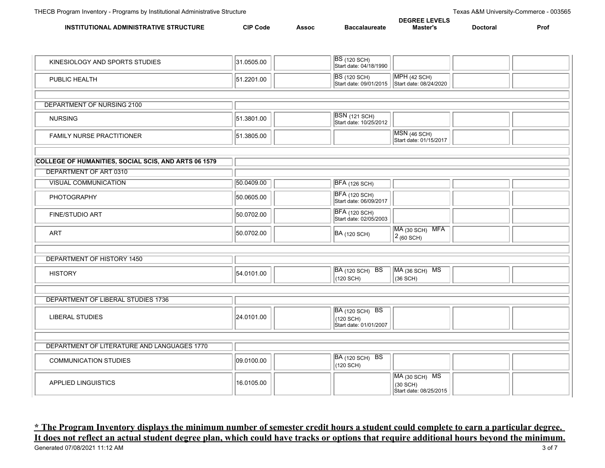|                                                          |                    |   | --   |               |      |
|----------------------------------------------------------|--------------------|---|------|---------------|------|
| אווד<br>INS<br>∩MINר<br><b>NVF</b><br>.TR'<br>ONAI<br>RΔ | <b>CIP</b><br>Code | . | iste | <b>POCTOL</b> | Pro. |

| KINESIOLOGY AND SPORTS STUDIES                              | 31.0505.00 | <b>BS</b> (120 SCH)<br>Start date: 04/18/1990                 |                                                      |
|-------------------------------------------------------------|------------|---------------------------------------------------------------|------------------------------------------------------|
| PUBLIC HEALTH                                               | 51.2201.00 | <b>BS</b> (120 SCH)<br>Start date: 09/01/2015                 | $MPH$ (42 SCH)<br>Start date: 08/24/2020             |
|                                                             |            |                                                               |                                                      |
| DEPARTMENT OF NURSING 2100                                  |            |                                                               |                                                      |
| <b>NURSING</b>                                              | 51.3801.00 | <b>BSN</b> (121 SCH)<br>Start date: 10/25/2012                |                                                      |
| <b>FAMILY NURSE PRACTITIONER</b>                            | 51.3805.00 |                                                               | MSN(46 SCH)<br>Start date: 01/15/2017                |
|                                                             |            |                                                               |                                                      |
| <b>COLLEGE OF HUMANITIES, SOCIAL SCIS, AND ARTS 06 1579</b> |            |                                                               |                                                      |
| DEPARTMENT OF ART 0310                                      |            |                                                               |                                                      |
| <b>VISUAL COMMUNICATION</b>                                 | 50.0409.00 | <b>BFA</b> (126 SCH)                                          |                                                      |
| PHOTOGRAPHY                                                 | 50.0605.00 | <b>BFA</b> (120 SCH)<br>Start date: 06/09/2017                |                                                      |
| FINE/STUDIO ART                                             | 50.0702.00 | <b>BFA</b> (120 SCH)<br>Start date: 02/05/2003                |                                                      |
| <b>ART</b>                                                  | 50.0702.00 | BA (120 SCH)                                                  | MA (30 SCH) MFA<br>$2(60)$ SCH)                      |
|                                                             |            |                                                               |                                                      |
| DEPARTMENT OF HISTORY 1450                                  |            |                                                               |                                                      |
| <b>HISTORY</b>                                              | 54.0101.00 | <b>BA</b> (120 SCH) BS<br>(120 SCH)                           | MA (36 SCH) MS<br>$(36$ SCH)                         |
|                                                             |            |                                                               |                                                      |
| DEPARTMENT OF LIBERAL STUDIES 1736                          |            |                                                               |                                                      |
| <b>LIBERAL STUDIES</b>                                      | 24.0101.00 | <b>BA</b> (120 SCH) BS<br>(120 SCH)<br>Start date: 01/01/2007 |                                                      |
|                                                             |            |                                                               |                                                      |
| DEPARTMENT OF LITERATURE AND LANGUAGES 1770                 |            |                                                               |                                                      |
| <b>COMMUNICATION STUDIES</b>                                | 09.0100.00 | <b>BA (120 SCH) BS</b><br>(120 SCH)                           |                                                      |
| <b>APPLIED LINGUISTICS</b>                                  | 16.0105.00 |                                                               | MA (30 SCH) MS<br>(30 SCH)<br>Start date: 08/25/2015 |

**\* The Program Inventory displays the minimum number of semester credit hours a student could complete to earn a particular degree. It does not reflect an actual student degree plan, which could have tracks or options that require additional hours beyond the minimum.**<br>Generated 07/08/2021 11:12 AM 3 of 7 Generated 07/08/2021 11:12 AM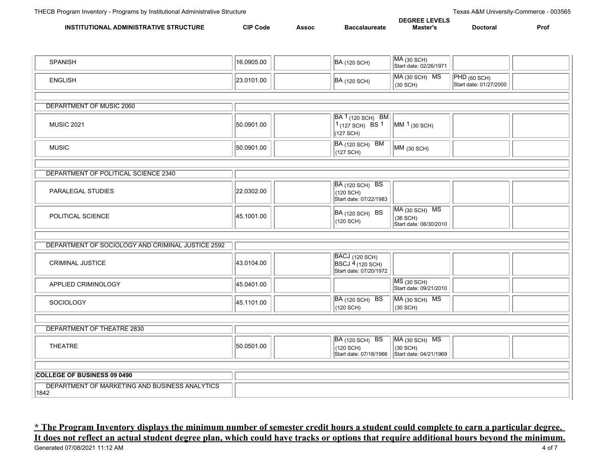|                                                                                        |                   |              |                  | ™ <sup>=v</sup> ELJ<br>JEGRI |          |      |
|----------------------------------------------------------------------------------------|-------------------|--------------|------------------|------------------------------|----------|------|
| <b>INS</b><br><b>TURL</b><br><b>ADMINISTRATIVE</b><br>$\sim$ $R^{11}$<br><b>TIONAI</b> | 21D<br>Code<br>ur | <b>Assoc</b> | alaureate<br>эaι | !aster                       | Doctoral | Pro. |

| <b>SPANISH</b>                                         | 16.0905.00 | <b>BA</b> (120 SCH)                                                   | <b>MA (30 SCH)</b><br>Start date: 02/26/1971              |                                        |  |
|--------------------------------------------------------|------------|-----------------------------------------------------------------------|-----------------------------------------------------------|----------------------------------------|--|
| <b>ENGLISH</b>                                         | 23.0101.00 | <b>BA</b> (120 SCH)                                                   | MA (30 SCH) MS<br>(30 SCH)                                | PHD (60 SCH)<br>Start date: 01/27/2000 |  |
|                                                        |            |                                                                       |                                                           |                                        |  |
| DEPARTMENT OF MUSIC 2060                               |            |                                                                       |                                                           |                                        |  |
| <b>MUSIC 2021</b>                                      | 50.0901.00 | <b>BA 1</b> (120 SCH) BM<br>$1_{(127 \text{ SCH})}$ BS 1<br>(127 SCH) | MM 1 (30 SCH)                                             |                                        |  |
| <b>MUSIC</b>                                           | 50.0901.00 | BA (120 SCH) BM<br>(127 SCH)                                          | MM (30 SCH)                                               |                                        |  |
|                                                        |            |                                                                       |                                                           |                                        |  |
| DEPARTMENT OF POLITICAL SCIENCE 2340                   |            |                                                                       |                                                           |                                        |  |
| PARALEGAL STUDIES                                      | 22.0302.00 | <b>BA (120 SCH) BS</b><br>(120 SCH)<br>Start date: 07/22/1983         |                                                           |                                        |  |
| POLITICAL SCIENCE                                      | 45.1001.00 | BA (120 SCH) BS<br>(120 SCH)                                          | MA (30 SCH) MS<br>$(36$ SCH $)$<br>Start date: 08/30/2010 |                                        |  |
|                                                        |            |                                                                       |                                                           |                                        |  |
| DEPARTMENT OF SOCIOLOGY AND CRIMINAL JUSTICE 2592      |            |                                                                       |                                                           |                                        |  |
| CRIMINAL JUSTICE                                       | 43.0104.00 | BACJ (120 SCH)<br>BSCJ 4 (120 SCH)<br>Start date: 07/20/1972          |                                                           |                                        |  |
| APPLIED CRIMINOLOGY                                    | 45.0401.00 |                                                                       | MS (30 SCH)<br>Start date: 09/21/2010                     |                                        |  |
| SOCIOLOGY                                              | 45.1101.00 | BA (120 SCH) BS<br>$(120$ SCH)                                        | MA (30 SCH) MS<br>(30 SCH)                                |                                        |  |
|                                                        |            |                                                                       |                                                           |                                        |  |
| DEPARTMENT OF THEATRE 2830                             |            |                                                                       |                                                           |                                        |  |
| <b>THEATRE</b>                                         | 50.0501.00 | BA (120 SCH) BS<br>(120 SCH)<br>Start date: 07/18/1966                | MA (30 SCH) MS<br>(30 SCH)<br>Start date: 04/21/1969      |                                        |  |
|                                                        |            |                                                                       |                                                           |                                        |  |
| <b>COLLEGE OF BUSINESS 09 0490</b>                     |            |                                                                       |                                                           |                                        |  |
| DEPARTMENT OF MARKETING AND BUSINESS ANALYTICS<br>1842 |            |                                                                       |                                                           |                                        |  |

## **\* The Program Inventory displays the minimum number of semester credit hours a student could complete to earn a particular degree. It does not reflect an actual student degree plan, which could have tracks or options that require additional hours beyond the minimum.**<br>Generated 07/08/2021 11:12 AM 4 of 7 Generated 07/08/2021 11:12 AM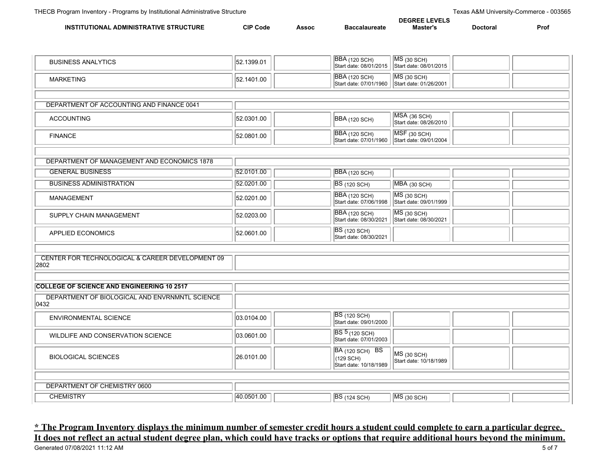|                                                                       |                 |       |                      | <b>DEGREE LEVELS</b> |         |      |
|-----------------------------------------------------------------------|-----------------|-------|----------------------|----------------------|---------|------|
| <b>STRUCTURE</b><br><b>INS</b><br>TRATIVF<br><b>ADMINIS</b><br>ΓΙΩΝΔΙ | <b>CIP Code</b> | Assoc | <b>Baccalaureate</b> | Master'              | Doctora | Pro. |

| <b>BUSINESS ANALYTICS</b>                                | 52.1399.01 | <b>BBA</b> (120 SCH)<br>Start date: 08/01/2015         | $MS$ (30 SCH)<br>Start date: 08/01/2015      |
|----------------------------------------------------------|------------|--------------------------------------------------------|----------------------------------------------|
| <b>MARKETING</b>                                         | 52.1401.00 | <b>BBA</b> (120 SCH)<br>Start date: 07/01/1960         | <b>MS</b> (30 SCH)<br>Start date: 01/26/2001 |
|                                                          |            |                                                        |                                              |
| DEPARTMENT OF ACCOUNTING AND FINANCE 0041                |            |                                                        |                                              |
| <b>ACCOUNTING</b>                                        | 52.0301.00 | BBA (120 SCH)                                          | MSA (36 SCH)<br>Start date: 08/26/2010       |
| <b>FINANCE</b>                                           | 52.0801.00 | <b>BBA</b> (120 SCH)<br>Start date: 07/01/1960         | $MSF$ (30 SCH)<br>Start date: 09/01/2004     |
|                                                          |            |                                                        |                                              |
| DEPARTMENT OF MANAGEMENT AND ECONOMICS 1878              |            |                                                        |                                              |
| <b>GENERAL BUSINESS</b>                                  | 52.0101.00 | <b>BBA</b> (120 SCH)                                   |                                              |
| <b>BUSINESS ADMINISTRATION</b>                           | 52.0201.00 | <b>BS</b> (120 SCH)                                    | $MBA$ (30 SCH)                               |
| MANAGEMENT                                               | 52.0201.00 | <b>BBA</b> (120 SCH)<br>Start date: 07/06/1998         | $MS$ (30 SCH)<br>Start date: 09/01/1999      |
| SUPPLY CHAIN MANAGEMENT                                  | 52.0203.00 | <b>BBA</b> (120 SCH)<br>Start date: 08/30/2021         | $MS$ (30 SCH)<br>Start date: 08/30/2021      |
| APPLIED ECONOMICS                                        | 52.0601.00 | <b>BS</b> (120 SCH)<br>Start date: 08/30/2021          |                                              |
|                                                          |            |                                                        |                                              |
| CENTER FOR TECHNOLOGICAL & CAREER DEVELOPMENT 09<br>2802 |            |                                                        |                                              |
|                                                          |            |                                                        |                                              |
| <b>COLLEGE OF SCIENCE AND ENGINEERING 10 2517</b>        |            |                                                        |                                              |
| DEPARTMENT OF BIOLOGICAL AND ENVRNMNTL SCIENCE<br>0432   |            |                                                        |                                              |
| <b>ENVIRONMENTAL SCIENCE</b>                             | 03.0104.00 | <b>BS</b> (120 SCH)<br>Start date: 09/01/2000          |                                              |
| WILDLIFE AND CONSERVATION SCIENCE                        | 03.0601.00 | <b>BS 5 (120 SCH)</b><br>Start date: 07/01/2003        |                                              |
| <b>BIOLOGICAL SCIENCES</b>                               | 26.0101.00 | BA (120 SCH) BS<br>(129 SCH)<br>Start date: 10/18/1989 | MS (30 SCH)<br>Start date: 10/18/1989        |
|                                                          |            |                                                        |                                              |
| DEPARTMENT OF CHEMISTRY 0600                             |            |                                                        |                                              |
| <b>CHEMISTRY</b>                                         | 40.0501.00 | <b>BS</b> (124 SCH)                                    | $MS$ (30 SCH)                                |

**\* The Program Inventory displays the minimum number of semester credit hours a student could complete to earn a particular degree. It does not reflect an actual student degree plan, which could have tracks or options that require additional hours beyond the minimum.**<br>Generated 07/08/2021 11:12 AM 5 of 7 Generated 07/08/2021 11:12 AM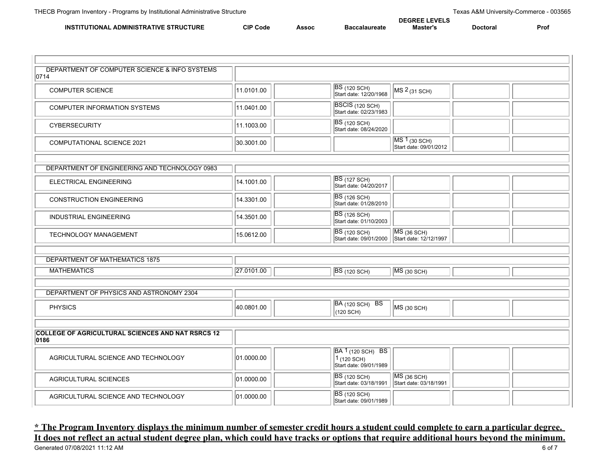١I.

|                                                        |                 |       |            | <b>DEGREE LEVELS</b> |          |      |
|--------------------------------------------------------|-----------------|-------|------------|----------------------|----------|------|
| . ADMINISTRATIVE STRUCTURE<br>UTIONAL<br><b>INSTIT</b> | <b>CIP Code</b> | Assoc | ำๆlaureate | Master's             | Doctoral | Pro. |

| DEPARTMENT OF COMPUTER SCIENCE & INFO SYSTEMS<br>0714            |            |                                                                                |                                          |
|------------------------------------------------------------------|------------|--------------------------------------------------------------------------------|------------------------------------------|
| <b>COMPUTER SCIENCE</b>                                          | 11.0101.00 | <b>BS</b> (120 SCH)<br>Start date: 12/20/1968                                  | MS <sup>2</sup> (31 SCH)                 |
| COMPUTER INFORMATION SYSTEMS                                     | 11.0401.00 | BSCIS (120 SCH)<br>Start date: 02/23/1983                                      |                                          |
| <b>CYBERSECURITY</b>                                             | 11.1003.00 | <b>BS</b> (120 SCH)<br>Start date: 08/24/2020                                  |                                          |
| <b>COMPUTATIONAL SCIENCE 2021</b>                                | 30.3001.00 |                                                                                | $MS1$ (30 SCH)<br>Start date: 09/01/2012 |
|                                                                  |            |                                                                                |                                          |
| DEPARTMENT OF ENGINEERING AND TECHNOLOGY 0983                    |            |                                                                                |                                          |
| ELECTRICAL ENGINEERING                                           | 14.1001.00 | <b>BS</b> (127 SCH)<br>Start date: 04/20/2017                                  |                                          |
| <b>CONSTRUCTION ENGINEERING</b>                                  | 14.3301.00 | <b>BS</b> (126 SCH)<br>Start date: 01/28/2010                                  |                                          |
| <b>INDUSTRIAL ENGINEERING</b>                                    | 14.3501.00 | <b>BS</b> (126 SCH)<br>Start date: 01/10/2003                                  |                                          |
| <b>TECHNOLOGY MANAGEMENT</b>                                     | 15.0612.00 | <b>BS</b> (120 SCH)<br>Start date: 09/01/2000                                  | $MS$ (36 SCH)<br>Start date: 12/12/1997  |
|                                                                  |            |                                                                                |                                          |
| DEPARTMENT OF MATHEMATICS 1875                                   |            |                                                                                |                                          |
| <b>MATHEMATICS</b>                                               | 27.0101.00 | <b>BS</b> (120 SCH)                                                            | $MS$ (30 SCH)                            |
|                                                                  |            |                                                                                |                                          |
| DEPARTMENT OF PHYSICS AND ASTRONOMY 2304                         |            |                                                                                |                                          |
| <b>PHYSICS</b>                                                   | 40.0801.00 | <b>BA</b> (120 SCH) BS<br>(120 SCH)                                            | MS (30 SCH)                              |
|                                                                  |            |                                                                                |                                          |
| <b>COLLEGE OF AGRICULTURAL SCIENCES AND NAT RSRCS 12</b><br>0186 |            |                                                                                |                                          |
| AGRICULTURAL SCIENCE AND TECHNOLOGY                              | 01.0000.00 | BA 1 <sub>(120 SCH)</sub> BS<br>$1(120 \text{ SCH})$<br>Start date: 09/01/1989 |                                          |
| AGRICULTURAL SCIENCES                                            | 01.0000.00 | <b>BS</b> (120 SCH)<br>Start date: 03/18/1991                                  | $MS$ (36 SCH)<br>Start date: 03/18/1991  |
| AGRICULTURAL SCIENCE AND TECHNOLOGY                              | 01.0000.00 | <b>BS</b> (120 SCH)<br>Start date: 09/01/1989                                  |                                          |

## **\* The Program Inventory displays the minimum number of semester credit hours a student could complete to earn a particular degree. It does not reflect an actual student degree plan, which could have tracks or options that require additional hours beyond the minimum.**<br>Generated 07/08/2021 11:12 AM Generated 07/08/2021 11:12 AM